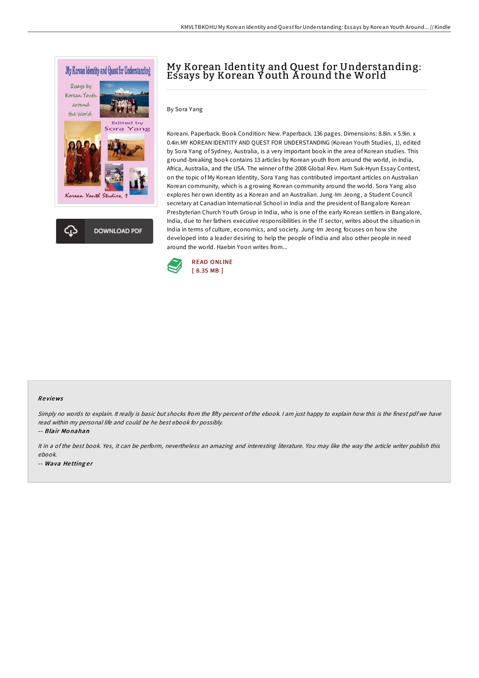



## By Sora Yang

Koreani. Paperback. Book Condition: New. Paperback. 136 pages. Dimensions: 8.8in. x 5.9in. x 0.4in.MY KOREAN IDENTITY AND QUEST FOR UNDERSTANDING (Korean Youth Studies, 1), edited by Sora Yang of Sydney, Australia, is a very important book in the area of Korean studies. This ground-breaking book contains 13 articles by Korean youth from around the world, in India, Africa, Australia, and the USA. The winner of the 2008 Global Rev. Ham Suk-Hyun Essay Contest, on the topic of My Korean Identity, Sora Yang has contributed important articles on Australian Korean community, which is a growing Korean community around the world. Sora Yang also explores her own identity as a Korean and an Australian. Jung-Im Jeong, a Student Council secretary at Canadian International School in India and the president of Bangalore Korean Presbyterian Church Youth Group in India, who is one of the early Korean settlers in Bangalore, India, due to her fathers executive responsibilities in the IT sector, writes about the situation in India in terms of culture, economics, and society. Jung-Im Jeong focuses on how she developed into a leader desiring to help the people of India and also other people in need around the world. Haebin Yoon writes from...



#### Re views

Simply no words to explain. It really is basic but shocks from the fifty percent of the ebook. I am just happy to explain how this is the finest pdf we have read within my personal life and could be he best ebook for possibly.

-- Blair Mo nahan

It in <sup>a</sup> of the best book. Yes, it can be perform, nevertheless an amazing and interesting literature. You may like the way the article writer publish this ebook. -- Wava Hettinger